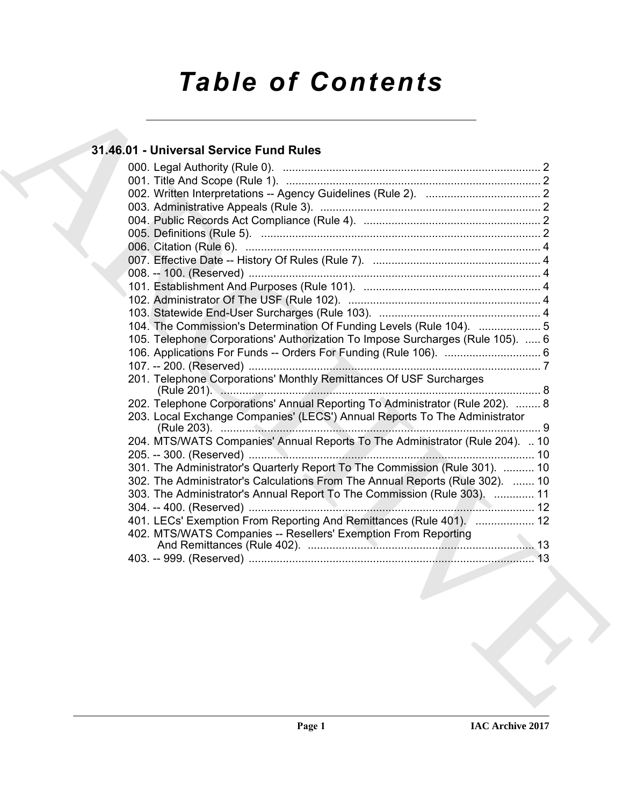# *Table of Contents*

## **31.46.01 - Universal Service Fund Rules**

| 104. The Commission's Determination Of Funding Levels (Rule 104).  5           |
|--------------------------------------------------------------------------------|
| 105. Telephone Corporations' Authorization To Impose Surcharges (Rule 105).  6 |
|                                                                                |
|                                                                                |
| 201. Telephone Corporations' Monthly Remittances Of USF Surcharges             |
| 202. Telephone Corporations' Annual Reporting To Administrator (Rule 202).  8  |
| 203. Local Exchange Companies' (LECS') Annual Reports To The Administrator     |
| 204. MTS/WATS Companies' Annual Reports To The Administrator (Rule 204).  10   |
|                                                                                |
| 301. The Administrator's Quarterly Report To The Commission (Rule 301).  10    |
| 302. The Administrator's Calculations From The Annual Reports (Rule 302).  10  |
| 303. The Administrator's Annual Report To The Commission (Rule 303).  11       |
| 401. LECs' Exemption From Reporting And Remittances (Rule 401).  12            |
| 402. MTS/WATS Companies -- Resellers' Exemption From Reporting                 |
|                                                                                |
| 13                                                                             |
|                                                                                |
|                                                                                |
|                                                                                |
|                                                                                |
|                                                                                |
|                                                                                |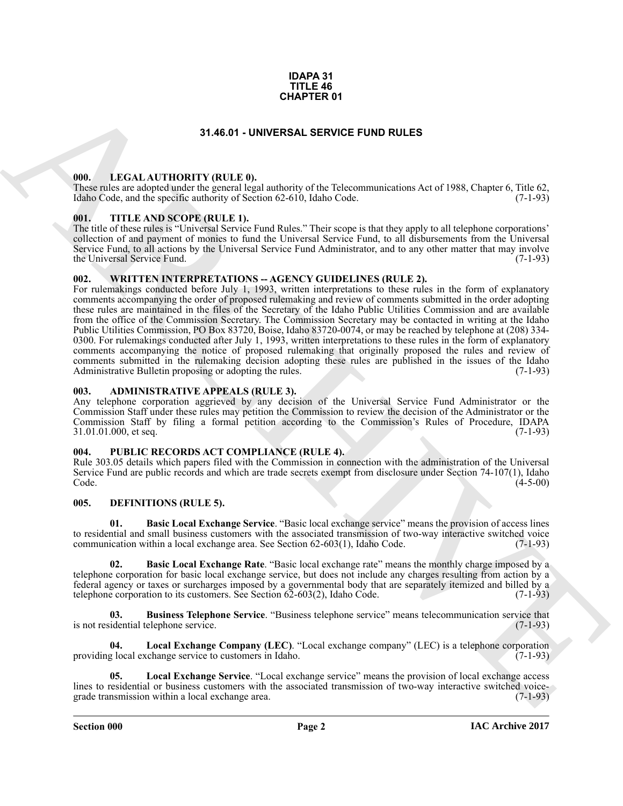#### **IDAPA 31 TITLE 46 CHAPTER 01**

## **31.46.01 - UNIVERSAL SERVICE FUND RULES**

#### <span id="page-1-1"></span><span id="page-1-0"></span>**000. LEGAL AUTHORITY (RULE 0).**

These rules are adopted under the general legal authority of the Telecommunications Act of 1988, Chapter 6, Title 62, Idaho Code, and the specific authority of Section 62-610, Idaho Code. (7-1-93)

#### <span id="page-1-2"></span>**001. TITLE AND SCOPE (RULE 1).**

The title of these rules is "Universal Service Fund Rules." Their scope is that they apply to all telephone corporations' collection of and payment of monies to fund the Universal Service Fund, to all disbursements from the Universal Service Fund, to all actions by the Universal Service Fund Administrator, and to any other matter that may involve the Universal Service Fund. (7-1-93) the Universal Service Fund.

#### <span id="page-1-3"></span>**002. WRITTEN INTERPRETATIONS -- AGENCY GUIDELINES (RULE 2).**

**31.46.01** - **UNITERN 13**<br> **ARCHIVED CONFIDENT (RULLE 6)**<br> **ARCHIVED CONFIDENT (RULLE 6)**<br> **ARCHIVED CONFIDENT (RULLE 6)**<br> **ARCHIVED CONFIDENT (RULLE 6)**<br> **ARCHIVED CONFIDENT (RULLE 6)**<br> **ARCHIVED CONFIDENT (RULLE 6)**<br> **A** For rulemakings conducted before July 1, 1993, written interpretations to these rules in the form of explanatory comments accompanying the order of proposed rulemaking and review of comments submitted in the order adopting these rules are maintained in the files of the Secretary of the Idaho Public Utilities Commission and are available from the office of the Commission Secretary. The Commission Secretary may be contacted in writing at the Idaho Public Utilities Commission, PO Box 83720, Boise, Idaho 83720-0074, or may be reached by telephone at (208) 334- 0300. For rulemakings conducted after July 1, 1993, written interpretations to these rules in the form of explanatory comments accompanying the notice of proposed rulemaking that originally proposed the rules and review of comments submitted in the rulemaking decision adopting these rules are published in the issues of the Idaho Administrative Bulletin proposing or adopting the rules. (7-1-93) Administrative Bulletin proposing or adopting the rules.

#### <span id="page-1-4"></span>**003. ADMINISTRATIVE APPEALS (RULE 3).**

Any telephone corporation aggrieved by any decision of the Universal Service Fund Administrator or the Commission Staff under these rules may petition the Commission to review the decision of the Administrator or the Commission Staff by filing a formal petition according to the Commission's Rules of Procedure, IDAPA  $31.01.01.000$ , et seq.

## <span id="page-1-5"></span>**004. PUBLIC RECORDS ACT COMPLIANCE (RULE 4).**

Rule 303.05 details which papers filed with the Commission in connection with the administration of the Universal Service Fund are public records and which are trade secrets exempt from disclosure under Section 74-107(1), Idaho  $\text{Code.} \tag{4-5-00}$ 

## <span id="page-1-7"></span><span id="page-1-6"></span>**005. DEFINITIONS (RULE 5).**

<span id="page-1-9"></span>**01. Basic Local Exchange Service**. "Basic local exchange service" means the provision of access lines to residential and small business customers with the associated transmission of two-way interactive switched voice communication within a local exchange area. See Section  $62-603(1)$ , Idaho Code.  $(7-1-93)$ 

<span id="page-1-8"></span>**02. Basic Local Exchange Rate**. "Basic local exchange rate" means the monthly charge imposed by a telephone corporation for basic local exchange service, but does not include any charges resulting from action by a federal agency or taxes or surcharges imposed by a governmental body that are separately itemized and billed by a telephone corporation to its customers. See Section  $62-603(2)$ , Idaho Code.  $(7-1-93)$ 

<span id="page-1-10"></span>**03.** Business Telephone Service. "Business telephone service" means telecommunication service that idential telephone service. (7-1-93) is not residential telephone service.

<span id="page-1-11"></span>**04. Local Exchange Company (LEC)**. "Local exchange company" (LEC) is a telephone corporation providing local exchange service to customers in Idaho.

<span id="page-1-12"></span>**05. Local Exchange Service**. "Local exchange service" means the provision of local exchange access lines to residential or business customers with the associated transmission of two-way interactive switched voice-<br>grade transmission within a local exchange area. (7-1-93) grade transmission within a local exchange area.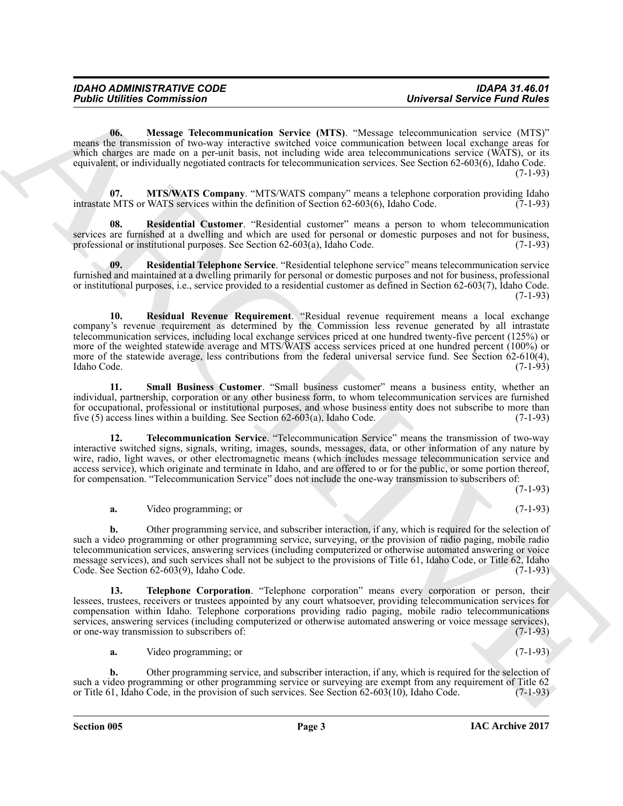<span id="page-2-0"></span>**06. Message Telecommunication Service (MTS)**. "Message telecommunication service (MTS)" means the transmission of two-way interactive switched voice communication between local exchange areas for which charges are made on a per-unit basis, not including wide area telecommunications service (WATS), or its equivalent, or individually negotiated contracts for telecommunication services. See Section 62-603(6), Idaho Code. (7-1-93)

<span id="page-2-1"></span>**07. MTS/WATS Company**. "MTS/WATS company" means a telephone corporation providing Idaho energy of MTS or WATS services within the definition of Section 62-603(6), Idaho Code. (7-1-93) intrastate MTS or WATS services within the definition of Section  $62-603(6)$ , Idaho Code.

<span id="page-2-2"></span>**08. Residential Customer**. "Residential customer" means a person to whom telecommunication services are furnished at a dwelling and which are used for personal or domestic purposes and not for business, professional or institutional purposes. See Section 62-603(a), Idaho Code. (7-1-93) professional or institutional purposes. See Section  $62-603(a)$ , Idaho Code.

<span id="page-2-4"></span><span id="page-2-3"></span>**09. Residential Telephone Service**. "Residential telephone service" means telecommunication service furnished and maintained at a dwelling primarily for personal or domestic purposes and not for business, professional or institutional purposes, i.e., service provided to a residential customer as defined in Section 62-603(7), Idaho Code. (7-1-93)

**Formic Uniter Commission** 2<br>
Universal Service Fund Philosophy (IFS). "Dieses Universal Service Fund Philosophy (IFS)<br>
went die Novemberg of Distribution Service CMTs). "Dieses universite interest in a case of USIS)<br>
wen **10. Residual Revenue Requirement**. "Residual revenue requirement means a local exchange company's revenue requirement as determined by the Commission less revenue generated by all intrastate telecommunication services, including local exchange services priced at one hundred twenty-five percent (125%) or more of the weighted statewide average and MTS/WATS access services priced at one hundred percent (100%) or more of the statewide average, less contributions from the federal universal service fund. See Section 62-610(4), Idaho Code. (7-1-93)

<span id="page-2-5"></span>**11. Small Business Customer**. "Small business customer" means a business entity, whether an individual, partnership, corporation or any other business form, to whom telecommunication services are furnished for occupational, professional or institutional purposes, and whose business entity does not subscribe to more than five  $(5)$  access lines within a building. See Section  $62-603(a)$ , Idaho Code.  $(7-1-93)$ five  $(5)$  access lines within a building. See Section  $62-603(a)$ , Idaho Code.

<span id="page-2-6"></span>**12. Telecommunication Service**. "Telecommunication Service" means the transmission of two-way interactive switched signs, signals, writing, images, sounds, messages, data, or other information of any nature by wire, radio, light waves, or other electromagnetic means (which includes message telecommunication service and access service), which originate and terminate in Idaho, and are offered to or for the public, or some portion thereof, for compensation. "Telecommunication Service" does not include the one-way transmission to subscribers of:

(7-1-93)

**a.** Video programming; or (7-1-93)

**b.** Other programming service, and subscriber interaction, if any, which is required for the selection of such a video programming or other programming service, surveying, or the provision of radio paging, mobile radio telecommunication services, answering services (including computerized or otherwise automated answering or voice message services), and such services shall not be subject to the provisions of Title 61, Idaho Code, or Title 62, Idaho Code.<br>Code. See Section 62-603(9), Idaho Code. Code. See Section  $62-603(9)$ , Idaho Code.

<span id="page-2-7"></span>**13. Telephone Corporation**. "Telephone corporation" means every corporation or person, their lessees, trustees, receivers or trustees appointed by any court whatsoever, providing telecommunication services for compensation within Idaho. Telephone corporations providing radio paging, mobile radio telecommunications services, answering services (including computerized or otherwise automated answering or voice message services), or one-way transmission to subscribers of: (7-1-93) or one-way transmission to subscribers of:

**a.** Video programming; or (7-1-93)

**b.** Other programming service, and subscriber interaction, if any, which is required for the selection of such a video programming or other programming service or surveying are exempt from any requirement of Title 62<br>or Title 61, Idaho Code, in the provision of such services. See Section 62-603(10), Idaho Code. (7-1-93) or Title 61, Idaho Code, in the provision of such services. See Section  $62-603(10)$ , Idaho Code.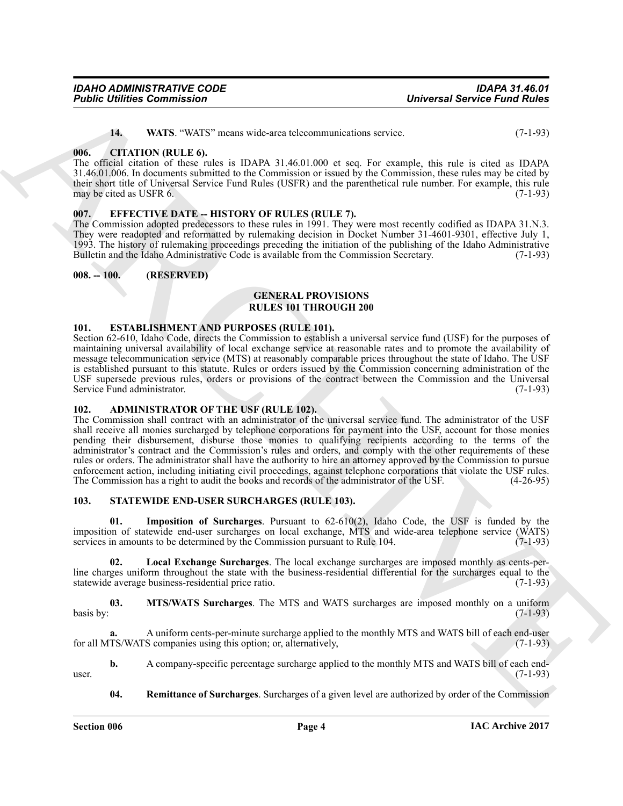| <b>IDAHO ADMINISTRATIVE CODE</b>   |  |
|------------------------------------|--|
| <b>Public Utilities Commission</b> |  |

<span id="page-3-7"></span>**14. WATS**. "WATS" means wide-area telecommunications service. (7-1-93)

#### <span id="page-3-0"></span>**006. CITATION (RULE 6).**

The official citation of these rules is IDAPA 31.46.01.000 et seq. For example, this rule is cited as IDAPA 31.46.01.006. In documents submitted to the Commission or issued by the Commission, these rules may be cited by their short title of Universal Service Fund Rules (USFR) and the parenthetical rule number. For example, this rule may be cited as USFR 6. (7-1-93)

#### <span id="page-3-1"></span>**007. EFFECTIVE DATE -- HISTORY OF RULES (RULE 7).**

The Commission adopted predecessors to these rules in 1991. They were most recently codified as IDAPA 31.N.3. They were readopted and reformatted by rulemaking decision in Docket Number 31-4601-9301, effective July 1, 1993. The history of rulemaking proceedings preceding the initiation of the publishing of the Idaho Administrative Bulletin and the Idaho Administrative Code is available from the Commission Secretary.

#### <span id="page-3-2"></span>**008. -- 100. (RESERVED)**

#### **GENERAL PROVISIONS RULES 101 THROUGH 200**

#### <span id="page-3-8"></span><span id="page-3-3"></span>**101. ESTABLISHMENT AND PURPOSES (RULE 101).**

Section 62-610, Idaho Code, directs the Commission to establish a universal service fund (USF) for the purposes of maintaining universal availability of local exchange service at reasonable rates and to promote the availability of message telecommunication service (MTS) at reasonably comparable prices throughout the state of Idaho. The USF is established pursuant to this statute. Rules or orders issued by the Commission concerning administration of the USF supersede previous rules, orders or provisions of the contract between the Commission and the Universal Service Fund administrator. (7-1-93) Service Fund administrator.

#### <span id="page-3-6"></span><span id="page-3-4"></span>**102. ADMINISTRATOR OF THE USF (RULE 102).**

**Foshic commission**<br>
16. What we are the state of the commission of the commission of the commission of the state of the commission of the commission of the state of the commission of the commission of the commission of t The Commission shall contract with an administrator of the universal service fund. The administrator of the USF shall receive all monies surcharged by telephone corporations for payment into the USF, account for those monies pending their disbursement, disburse those monies to qualifying recipients according to the terms of the administrator's contract and the Commission's rules and orders, and comply with the other requirements of these rules or orders. The administrator shall have the authority to hire an attorney approved by the Commission to pursue enforcement action, including initiating civil proceedings, against telephone corporations that violate the USF rules.<br>The Commission has a right to audit the books and records of the administrator of the USF. (4-26-95) The Commission has a right to audit the books and records of the administrator of the USF.

#### <span id="page-3-9"></span><span id="page-3-5"></span>**103. STATEWIDE END-USER SURCHARGES (RULE 103).**

<span id="page-3-10"></span>**01. Imposition of Surcharges**. Pursuant to 62-610(2), Idaho Code, the USF is funded by the imposition of statewide end-user surcharges on local exchange, MTS and wide-area telephone service (WATS) services in amounts to be determined by the Commission pursuant to Rule 104. (7-1-93)

<span id="page-3-11"></span>**02. Local Exchange Surcharges**. The local exchange surcharges are imposed monthly as cents-perline charges uniform throughout the state with the business-residential differential for the surcharges equal to the statewide average business-residential price ratio. (7-1-93) statewide average business-residential price ratio.

<span id="page-3-12"></span>**03. MTS/WATS Surcharges**. The MTS and WATS surcharges are imposed monthly on a uniform  $b$ asis by:  $(7-1-93)$ 

**a.** A uniform cents-per-minute surcharge applied to the monthly MTS and WATS bill of each end-user for all MTS/WATS companies using this option; or, alternatively, (7-1-93)

**b.** A company-specific percentage surcharge applied to the monthly MTS and WATS bill of each enduser.  $(7-1-93)$ 

<span id="page-3-13"></span>**04.** Remittance of Surcharges. Surcharges of a given level are authorized by order of the Commission

**Section 006 Page 4**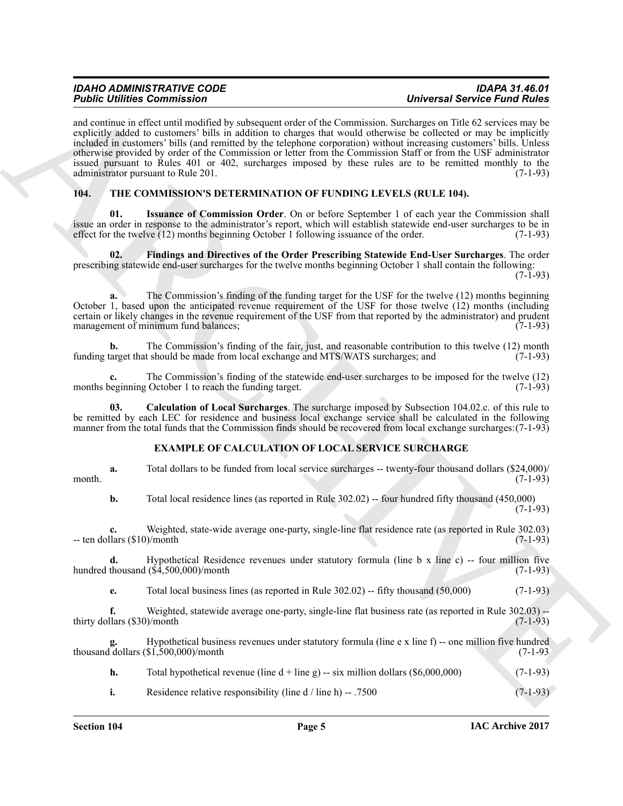| <b>IDAHO ADMINISTRATIVE CODE</b>   | <b>IDAPA 31.46.01</b>               |
|------------------------------------|-------------------------------------|
| <b>Public Utilities Commission</b> | <b>Universal Service Fund Rules</b> |

For contribution Commute that the contribution of the Commute Commute Commute Commute Commute that the control of the control of the control of the control of the control of the control of the control of the control of th and continue in effect until modified by subsequent order of the Commission. Surcharges on Title 62 services may be explicitly added to customers' bills in addition to charges that would otherwise be collected or may be implicitly included in customers' bills (and remitted by the telephone corporation) without increasing customers' bills. Unless otherwise provided by order of the Commission or letter from the Commission Staff or from the USF administrator issued pursuant to Rules 401 or 402, surcharges imposed by these rules are to be remitted monthly to the administrator pursuant to Rule 201. (7-1-93)

#### <span id="page-4-5"></span><span id="page-4-1"></span><span id="page-4-0"></span>**104. THE COMMISSION'S DETERMINATION OF FUNDING LEVELS (RULE 104).**

**Issuance of Commission Order**. On or before September 1 of each year the Commission shall issue an order in response to the administrator's report, which will establish statewide end-user surcharges to be in effect for the twelve (12) months beginning October 1 following issuance of the order. (7-1-93) effect for the twelve  $(12)$  months beginning October 1 following issuance of the order.

<span id="page-4-4"></span>**02. Findings and Directives of the Order Prescribing Statewide End-User Surcharges**. The order prescribing statewide end-user surcharges for the twelve months beginning October 1 shall contain the following:

 $(7 - \tilde{1} - 93)$ 

**a.** The Commission's finding of the funding target for the USF for the twelve (12) months beginning October 1, based upon the anticipated revenue requirement of the USF for those twelve (12) months (including certain or likely changes in the revenue requirement of the USF from that reported by the administrator) and prudent management of minimum fund balances;

**b.** The Commission's finding of the fair, just, and reasonable contribution to this twelve (12) month target that should be made from local exchange and MTS/WATS surcharges; and (7-1-93) funding target that should be made from local exchange and MTS/WATS surcharges; and

**c.** The Commission's finding of the statewide end-user surcharges to be imposed for the twelve (12) beginning October 1 to reach the funding target. (7-1-93) months beginning October 1 to reach the funding target.

**03. Calculation of Local Surcharges**. The surcharge imposed by Subsection 104.02.c. of this rule to be remitted by each LEC for residence and business local exchange service shall be calculated in the following manner from the total funds that the Commission finds should be recovered from local exchange surcharges:(7-1-93)

## <span id="page-4-3"></span><span id="page-4-2"></span>**EXAMPLE OF CALCULATION OF LOCAL SERVICE SURCHARGE**

**a.** Total dollars to be funded from local service surcharges -- twenty-four thousand dollars (\$24,000)/ (7-1-93) month.  $(7-1-93)$ 

**b.** Total local residence lines (as reported in Rule 302.02) -- four hundred fifty thousand (450,000) (7-1-93)

**c.** Weighted, state-wide average one-party, single-line flat residence rate (as reported in Rule 302.03) llars (\$10)/month  $-$  ten dollars (\$10)/month

**d.** Hypothetical Residence revenues under statutory formula (line b x line c) -- four million five thousand  $(\$4,500,000)/$ month (7-1-93) hundred thousand  $(\dot{\bar{\mathbf{S}}}4,500,000)$ /month

**e.** Total local business lines (as reported in Rule 302.02) -- fifty thousand (50,000) (7-1-93)

**f.** Weighted, statewide average one-party, single-line flat business rate (as reported in Rule 302.03) --<br>(1-1-93) (7-1-93) thirty dollars  $(\$30$ /month

Hypothetical business revenues under statutory formula (line e x line f) -- one million five hundred \$1,500,000)/month **g.** Hypothetical business thousand dollars (\$1,500,000)/month

**h.** Total hypothetical revenue (line  $d + line g$ )  $-$  six million dollars (\$6,000,000) (7-1-93)

**i.** Residence relative responsibility (line  $d / line h$ )  $- .7500$  (7-1-93)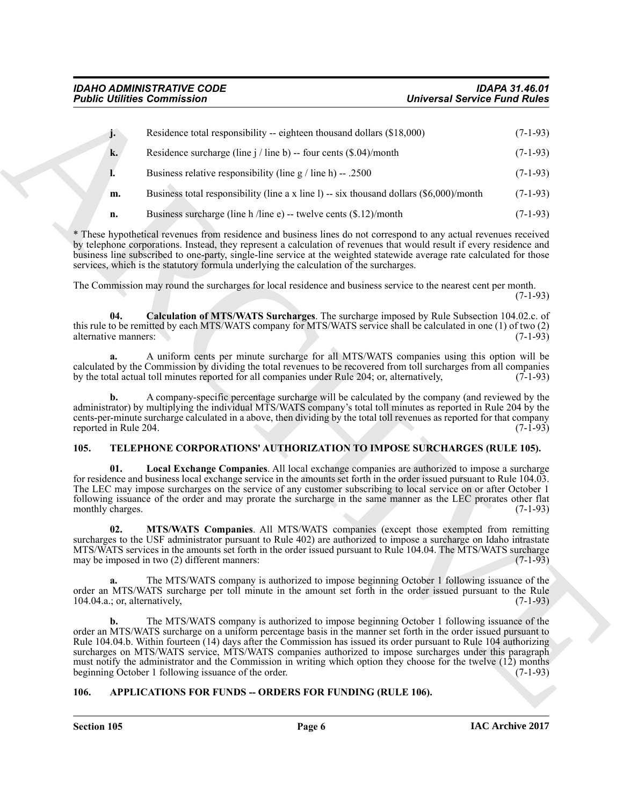|                                     | <b>Public Utilities Commission</b>                                                                                                                                                                                                                                                                                                                                                                                                                                                                                                                                                                                           | <b>Universal Service Fund Rules</b> |
|-------------------------------------|------------------------------------------------------------------------------------------------------------------------------------------------------------------------------------------------------------------------------------------------------------------------------------------------------------------------------------------------------------------------------------------------------------------------------------------------------------------------------------------------------------------------------------------------------------------------------------------------------------------------------|-------------------------------------|
| j.                                  | Residence total responsibility -- eighteen thousand dollars (\$18,000)                                                                                                                                                                                                                                                                                                                                                                                                                                                                                                                                                       | $(7-1-93)$                          |
| k.                                  | Residence surcharge (line $j$ / line b) -- four cents $(\$.04)$ /month                                                                                                                                                                                                                                                                                                                                                                                                                                                                                                                                                       | $(7-1-93)$                          |
|                                     | Business relative responsibility (line $g / line h$ ) -- .2500                                                                                                                                                                                                                                                                                                                                                                                                                                                                                                                                                               | $(7-1-93)$                          |
| m.                                  | Business total responsibility (line a x line 1) -- six thousand dollars $(\$6,000$ )/month                                                                                                                                                                                                                                                                                                                                                                                                                                                                                                                                   | $(7-1-93)$                          |
| n.                                  | Business surcharge (line h /line e) -- twelve cents $(\$.12)$ /month                                                                                                                                                                                                                                                                                                                                                                                                                                                                                                                                                         | $(7-1-93)$                          |
|                                     | * These hypothetical revenues from residence and business lines do not correspond to any actual revenues received<br>by telephone corporations. Instead, they represent a calculation of revenues that would result if every residence and<br>business line subscribed to one-party, single-line service at the weighted statewide average rate calculated for those<br>services, which is the statutory formula underlying the calculation of the surcharges.                                                                                                                                                               |                                     |
|                                     | The Commission may round the surcharges for local residence and business service to the nearest cent per month.                                                                                                                                                                                                                                                                                                                                                                                                                                                                                                              | $(7-1-93)$                          |
| 04.<br>alternative manners:         | Calculation of MTS/WATS Surcharges. The surcharge imposed by Rule Subsection 104.02.c. of<br>this rule to be remitted by each MTS/WATS company for MTS/WATS service shall be calculated in one (1) of two (2)                                                                                                                                                                                                                                                                                                                                                                                                                | $(7-1-93)$                          |
| a.                                  | A uniform cents per minute surcharge for all MTS/WATS companies using this option will be<br>calculated by the Commission by dividing the total revenues to be recovered from toll surcharges from all companies<br>by the total actual toll minutes reported for all companies under Rule 204; or, alternatively,                                                                                                                                                                                                                                                                                                           | $(7-1-93)$                          |
| b.<br>reported in Rule 204.         | A company-specific percentage surcharge will be calculated by the company (and reviewed by the<br>administrator) by multiplying the individual MTS/WATS company's total toll minutes as reported in Rule 204 by the<br>cents-per-minute surcharge calculated in a above, then dividing by the total toll revenues as reported for that company                                                                                                                                                                                                                                                                               | $(7-1-93)$                          |
| 105.                                | TELEPHONE CORPORATIONS' AUTHORIZATION TO IMPOSE SURCHARGES (RULE 105).                                                                                                                                                                                                                                                                                                                                                                                                                                                                                                                                                       |                                     |
| 01.<br>monthly charges.             | Local Exchange Companies. All local exchange companies are authorized to impose a surcharge<br>for residence and business local exchange service in the amounts set forth in the order issued pursuant to Rule 104.03.<br>The LEC may impose surcharges on the service of any customer subscribing to local service on or after October 1<br>following issuance of the order and may prorate the surcharge in the same manner as the LEC prorates other flat                                                                                                                                                                 | $(7-1-93)$                          |
| 02.                                 | MTS/WATS Companies. All MTS/WATS companies (except those exempted from remitting<br>surcharges to the USF administrator pursuant to Rule 402) are authorized to impose a surcharge on Idaho intrastate<br>MTS/WATS services in the amounts set forth in the order issued pursuant to Rule 104.04. The MTS/WATS surcharge<br>may be imposed in two (2) different manners:                                                                                                                                                                                                                                                     | $(7-1-93)$                          |
| a.<br>104.04.a.; or, alternatively, | The MTS/WATS company is authorized to impose beginning October 1 following issuance of the<br>order an MTS/WATS surcharge per toll minute in the amount set forth in the order issued pursuant to the Rule                                                                                                                                                                                                                                                                                                                                                                                                                   | $(7-1-93)$                          |
| b.                                  | The MTS/WATS company is authorized to impose beginning October 1 following issuance of the<br>order an MTS/WATS surcharge on a uniform percentage basis in the manner set forth in the order issued pursuant to<br>Rule 104.04.b. Within fourteen (14) days after the Commission has issued its order pursuant to Rule 104 authorizing<br>surcharges on MTS/WATS service, MTS/WATS companies authorized to impose surcharges under this paragraph<br>must notify the administrator and the Commission in writing which option they choose for the twelve (12) months<br>beginning October 1 following issuance of the order. | $(7-1-93)$                          |
| 106.                                | APPLICATIONS FOR FUNDS -- ORDERS FOR FUNDING (RULE 106).                                                                                                                                                                                                                                                                                                                                                                                                                                                                                                                                                                     |                                     |

## <span id="page-5-6"></span><span id="page-5-5"></span><span id="page-5-4"></span><span id="page-5-3"></span><span id="page-5-0"></span>**105. TELEPHONE CORPORATIONS' AUTHORIZATION TO IMPOSE SURCHARGES (RULE 105).**

## <span id="page-5-2"></span><span id="page-5-1"></span>**106. APPLICATIONS FOR FUNDS -- ORDERS FOR FUNDING (RULE 106).**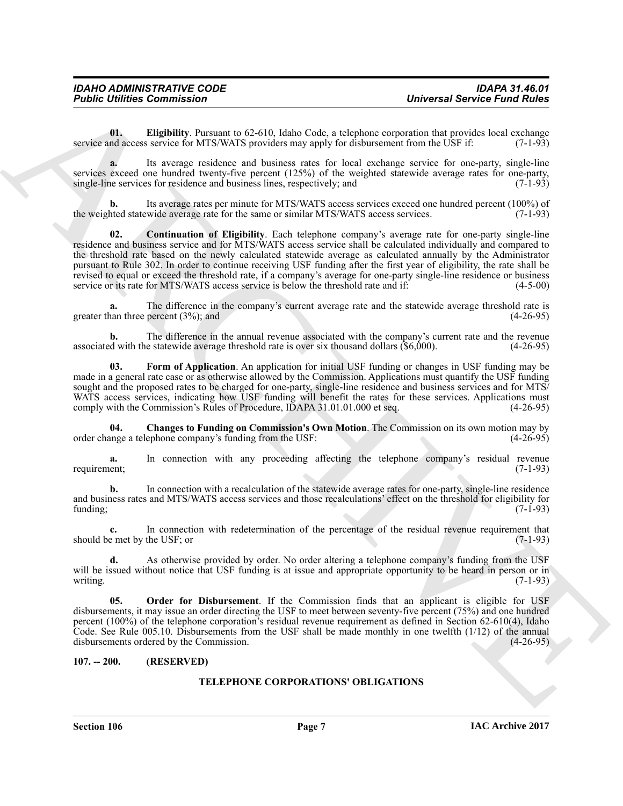<span id="page-6-3"></span>**01. Eligibility**. Pursuant to 62-610, Idaho Code, a telephone corporation that provides local exchange nd access service for MTS/WATS providers may apply for disbursement from the USF if: (7-1-93) service and access service for MTS/WATS providers may apply for disbursement from the USF if:

**a.** Its average residence and business rates for local exchange service for one-party, single-line services exceed one hundred twenty-five percent (125%) of the weighted statewide average rates for one-party, single-line services for residence and business lines, respectively; and (7-1-93) single-line services for residence and business lines, respectively; and

<span id="page-6-2"></span>**b.** Its average rates per minute for MTS/WATS access services exceed one hundred percent (100%) of the weighted statewide average rate for the same or similar MTS/WATS access services. (7-1-93)

**Foldine Distribution** Commission –<br>
Universal Service Fund Politics<br>
Universal Service Fund Politics<br>
contains and the extent of the NV (NV (NV (NV (NV) and the NV) of the NV (NV) of the NV (NV) of the NV (NV) of the NV **02. Continuation of Eligibility**. Each telephone company's average rate for one-party single-line residence and business service and for MTS/WATS access service shall be calculated individually and compared to the threshold rate based on the newly calculated statewide average as calculated annually by the Administrator pursuant to Rule 302. In order to continue receiving USF funding after the first year of eligibility, the rate shall be revised to equal or exceed the threshold rate, if a company's average for one-party single-line residence or business service or its rate for MTS/WATS access service is below the threshold rate and if:  $(4-5-00)$ service or its rate for MTS/WATS access service is below the threshold rate and if:

**a.** The difference in the company's current average rate and the statewide average threshold rate is nan three percent (3%): and (4-26-95) greater than three percent  $(3%)$ ; and

**b.** The difference in the annual revenue associated with the company's current rate and the revenue of with the statewide average threshold rate is over six thousand dollars (\$6,000). (4-26-95) associated with the statewide average threshold rate is over six thousand dollars  $(\$6,000)$ .

<span id="page-6-4"></span>**03.** Form of Application. An application for initial USF funding or changes in USF funding may be made in a general rate case or as otherwise allowed by the Commission. Applications must quantify the USF funding sought and the proposed rates to be charged for one-party, single-line residence and business services and for MTS/ WATS access services, indicating how USF funding will benefit the rates for these services. Applications must comply with the Commission's Rules of Procedure, IDAPA 31.01.01.000 et seq. (4-26-95)

<span id="page-6-1"></span>**04.** Changes to Funding on Commission's Own Motion. The Commission on its own motion may by unge a telephone company's funding from the USF: (4-26-95) order change a telephone company's funding from the USF:

**a.** In connection with any proceeding affecting the telephone company's residual revenue requirement; (7-1-93) requirement; (7-1-93)

**b.** In connection with a recalculation of the statewide average rates for one-party, single-line residence and business rates and MTS/WATS access services and those recalculations' effect on the threshold for eligibility for funding; (7-1-93) funding; (7-1-93)

**c.** In connection with redetermination of the percentage of the residual revenue requirement that e met by the USF; or (7-1-93) should be met by the USF; or

**d.** As otherwise provided by order. No order altering a telephone company's funding from the USF will be issued without notice that USF funding is at issue and appropriate opportunity to be heard in person or in writing. (7-1-93) writing. (7-1-93)

<span id="page-6-5"></span>**Order for Disbursement**. If the Commission finds that an applicant is eligible for USF disbursements, it may issue an order directing the USF to meet between seventy-five percent (75%) and one hundred percent (100%) of the telephone corporation's residual revenue requirement as defined in Section 62-610(4), Idaho Code. See Rule 005.10. Disbursements from the USF shall be made monthly in one twelfth (1/12) of the annual disbursements ordered by the Commission. (4-26-95)

#### <span id="page-6-0"></span>**107. -- 200. (RESERVED)**

## **TELEPHONE CORPORATIONS' OBLIGATIONS**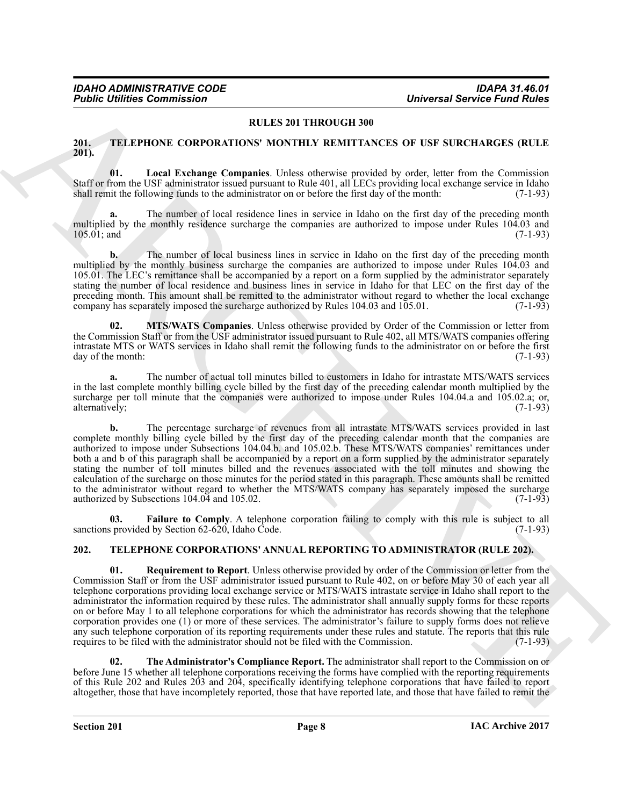#### **RULES 201 THROUGH 300**

#### <span id="page-7-5"></span><span id="page-7-0"></span>**201. TELEPHONE CORPORATIONS' MONTHLY REMITTANCES OF USF SURCHARGES (RULE 201).**

<span id="page-7-7"></span>**01. Local Exchange Companies**. Unless otherwise provided by order, letter from the Commission Staff or from the USF administrator issued pursuant to Rule 401, all LECs providing local exchange service in Idaho shall remit the following funds to the administrator on or before the first day of the month: (7-1-93)

**a.** The number of local residence lines in service in Idaho on the first day of the preceding month multiplied by the monthly residence surcharge the companies are authorized to impose under Rules 104.03 and 105.01; and (7-1-93) 105.01; and (7-1-93)

**b.** The number of local business lines in service in Idaho on the first day of the preceding month multiplied by the monthly business surcharge the companies are authorized to impose under Rules 104.03 and 105.01. The LEC's remittance shall be accompanied by a report on a form supplied by the administrator separately stating the number of local residence and business lines in service in Idaho for that LEC on the first day of the preceding month. This amount shall be remitted to the administrator without regard to whether the local exchange company has separately imposed the surcharge authorized by Rules 104.03 and 105.01. (7-1-93)

<span id="page-7-8"></span>**02. MTS/WATS Companies**. Unless otherwise provided by Order of the Commission or letter from the Commission Staff or from the USF administrator issued pursuant to Rule 402, all MTS/WATS companies offering intrastate MTS or WATS services in Idaho shall remit the following funds to the administrator on or before the first day of the month: (7-1-93)

**a.** The number of actual toll minutes billed to customers in Idaho for intrastate MTS/WATS services in the last complete monthly billing cycle billed by the first day of the preceding calendar month multiplied by the surcharge per toll minute that the companies were authorized to impose under Rules 104.04.a and 105.02.a; or, alternatively; (7-1-93) alternatively;

**FIGURE 2.1 CONTROL CONFERENCE CONTROL CONFERENCE CONFERENCE CONFERENCE CONFERENCE CONFERENCE CONFERENCE CONFERENCE CONFERENCE CONFERENCE CONFERENCE CONFERENCE CONFERENCE CONFERENCE CONFERENCE CONFERENCE CONFERENCE CONFER b.** The percentage surcharge of revenues from all intrastate MTS/WATS services provided in last complete monthly billing cycle billed by the first day of the preceding calendar month that the companies are authorized to impose under Subsections 104.04.b. and 105.02.b. These MTS/WATS companies' remittances under both a and b of this paragraph shall be accompanied by a report on a form supplied by the administrator separately stating the number of toll minutes billed and the revenues associated with the toll minutes and showing the calculation of the surcharge on those minutes for the period stated in this paragraph. These amounts shall be remitted to the administrator without regard to whether the MTS/WATS company has separately imposed the surcharge authorized by Subsections 104.04 and 105.02. authorized by Subsections  $104.04$  and  $105.02$ .

<span id="page-7-6"></span>**03. Failure to Comply**. A telephone corporation failing to comply with this rule is subject to all sprovided by Section 62-620. Idaho Code. (7-1-93) sanctions provided by Section  $62-620$ , Idaho Code.

## <span id="page-7-2"></span><span id="page-7-1"></span>**202. TELEPHONE CORPORATIONS' ANNUAL REPORTING TO ADMINISTRATOR (RULE 202).**

<span id="page-7-3"></span>**01. Requirement to Report**. Unless otherwise provided by order of the Commission or letter from the Commission Staff or from the USF administrator issued pursuant to Rule 402, on or before May 30 of each year all telephone corporations providing local exchange service or MTS/WATS intrastate service in Idaho shall report to the administrator the information required by these rules. The administrator shall annually supply forms for these reports on or before May 1 to all telephone corporations for which the administrator has records showing that the telephone corporation provides one (1) or more of these services. The administrator's failure to supply forms does not relieve any such telephone corporation of its reporting requirements under these rules and statute. The reports that this rule requires to be filed with the administrator should not be filed with the Commission. (7-1-93)

<span id="page-7-4"></span>**02. The Administrator's Compliance Report.** The administrator shall report to the Commission on or before June 15 whether all telephone corporations receiving the forms have complied with the reporting requirements of this Rule 202 and Rules 203 and 204, specifically identifying telephone corporations that have failed to report altogether, those that have incompletely reported, those that have reported late, and those that have failed to remit the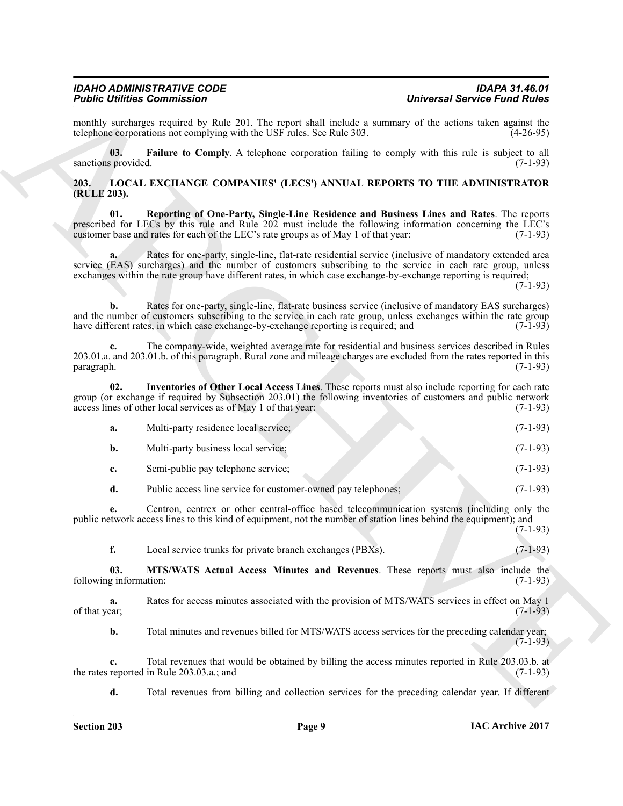<span id="page-8-5"></span><span id="page-8-4"></span><span id="page-8-3"></span><span id="page-8-2"></span><span id="page-8-1"></span><span id="page-8-0"></span>

| <b>Universal Service Fund Rules</b> |                                                                                                                                                                                                                                                                                                                                         | <b>Public Utilities Commission</b>                             |                               |
|-------------------------------------|-----------------------------------------------------------------------------------------------------------------------------------------------------------------------------------------------------------------------------------------------------------------------------------------------------------------------------------------|----------------------------------------------------------------|-------------------------------|
| $(4-26-95)$                         | monthly surcharges required by Rule 201. The report shall include a summary of the actions taken against the<br>telephone corporations not complying with the USF rules. See Rule 303.                                                                                                                                                  |                                                                |                               |
| $(7-1-93)$                          | Failure to Comply. A telephone corporation failing to comply with this rule is subject to all                                                                                                                                                                                                                                           |                                                                | 03.<br>sanctions provided.    |
|                                     | LOCAL EXCHANGE COMPANIES' (LECS') ANNUAL REPORTS TO THE ADMINISTRATOR                                                                                                                                                                                                                                                                   |                                                                | 203.<br>(RULE 203).           |
| $(7-1-93)$                          | Reporting of One-Party, Single-Line Residence and Business Lines and Rates. The reports<br>prescribed for LECs by this rule and Rule 202 must include the following information concerning the LEC's<br>customer base and rates for each of the LEC's rate groups as of May 1 of that year:                                             |                                                                | 01.                           |
| $(7-1-93)$                          | Rates for one-party, single-line, flat-rate residential service (inclusive of mandatory extended area<br>service (EAS) surcharges) and the number of customers subscribing to the service in each rate group, unless<br>exchanges within the rate group have different rates, in which case exchange-by-exchange reporting is required; | a.                                                             |                               |
| $(7-1-93)$                          | Rates for one-party, single-line, flat-rate business service (inclusive of mandatory EAS surcharges)<br>and the number of customers subscribing to the service in each rate group, unless exchanges within the rate group<br>have different rates, in which case exchange-by-exchange reporting is required; and                        | b.                                                             |                               |
| $(7-1-93)$                          | The company-wide, weighted average rate for residential and business services described in Rules<br>203.01.a. and 203.01.b. of this paragraph. Rural zone and mileage charges are excluded from the rates reported in this                                                                                                              | c.                                                             | paragraph.                    |
| $(7-1-93)$                          | Inventories of Other Local Access Lines. These reports must also include reporting for each rate<br>group (or exchange if required by Subsection 203.01) the following inventories of customers and public network                                                                                                                      | access lines of other local services as of May 1 of that year: | 02.                           |
| $(7-1-93)$                          | Multi-party residence local service;                                                                                                                                                                                                                                                                                                    | a.                                                             |                               |
| $(7-1-93)$                          |                                                                                                                                                                                                                                                                                                                                         | Multi-party business local service;                            | b.                            |
| $(7-1-93)$                          | Semi-public pay telephone service;                                                                                                                                                                                                                                                                                                      | c.                                                             |                               |
| $(7-1-93)$                          | Public access line service for customer-owned pay telephones;                                                                                                                                                                                                                                                                           |                                                                | d.                            |
| $(7-1-93)$                          | Centron, centrex or other central-office based telecommunication systems (including only the<br>public network access lines to this kind of equipment, not the number of station lines behind the equipment); and                                                                                                                       | е.                                                             |                               |
| $(7-1-93)$                          | Local service trunks for private branch exchanges (PBXs).                                                                                                                                                                                                                                                                               | f.                                                             |                               |
| $(7-1-93)$                          | MTS/WATS Actual Access Minutes and Revenues. These reports must also include the                                                                                                                                                                                                                                                        |                                                                | 03.<br>following information: |
| $(7-1-93)$                          | Rates for access minutes associated with the provision of MTS/WATS services in effect on May 1                                                                                                                                                                                                                                          |                                                                | a.<br>of that year;           |
| $(7-1-93)$                          | Total minutes and revenues billed for MTS/WATS access services for the preceding calendar year;                                                                                                                                                                                                                                         |                                                                | b.                            |
| $(7-1-93)$                          | Total revenues that would be obtained by billing the access minutes reported in Rule 203.03.b. at                                                                                                                                                                                                                                       | $c_{\cdot}$<br>the rates reported in Rule 203.03.a.; and       |                               |
|                                     | Total revenues from billing and collection services for the preceding calendar year. If different                                                                                                                                                                                                                                       | d.                                                             |                               |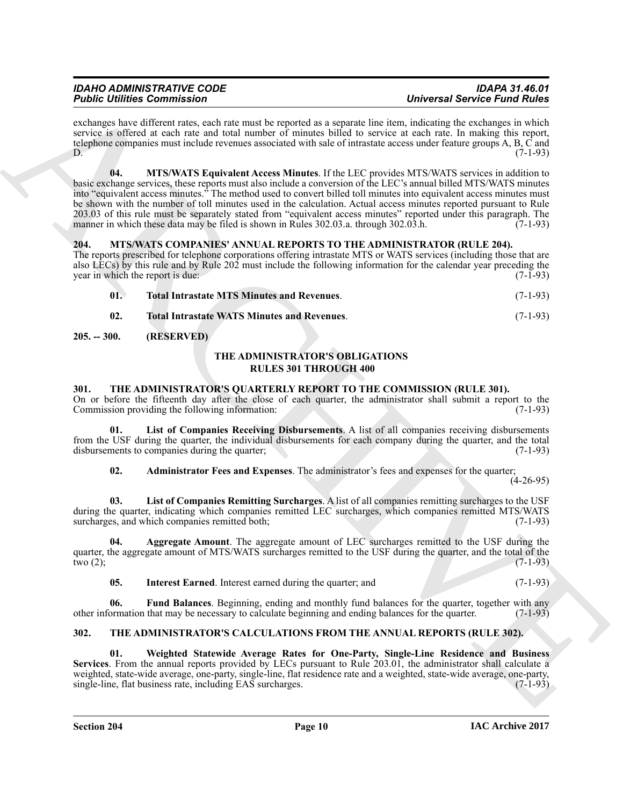<span id="page-9-4"></span>exchanges have different rates, each rate must be reported as a separate line item, indicating the exchanges in which service is offered at each rate and total number of minutes billed to service at each rate. In making this report, telephone companies must include revenues associated with sale of intrastate access under feature groups A, B, C and  $D.$  (7-1-93)

For Contribution Contribution<br>
well-task and a method with music transmitted to the music space of the music contribution of the system of the system of the system of the system of the system of the system of the system o **04. MTS/WATS Equivalent Access Minutes**. If the LEC provides MTS/WATS services in addition to basic exchange services, these reports must also include a conversion of the LEC's annual billed MTS/WATS minutes into "equivalent access minutes." The method used to convert billed toll minutes into equivalent access minutes must be shown with the number of toll minutes used in the calculation. Actual access minutes reported pursuant to Rule 203.03 of this rule must be separately stated from "equivalent access minutes" reported under this paragraph. The manner in which these data may be filed is shown in Rules 302.03.a. through 302.03.h. (7-1-93) manner in which these data may be filed is shown in Rules 302.03.a. through 302.03.h.

## <span id="page-9-5"></span><span id="page-9-0"></span>**204. MTS/WATS COMPANIES' ANNUAL REPORTS TO THE ADMINISTRATOR (RULE 204).**

The reports prescribed for telephone corporations offering intrastate MTS or WATS services (including those that are also LECs) by this rule and by Rule 202 must include the following information for the calendar year preceding the year in which the report is due: (7-1-93) year in which the report is due:

<span id="page-9-7"></span><span id="page-9-6"></span>

| - 01. | <b>Total Intrastate MTS Minutes and Revenues.</b>  | $(7-1-93)$ |
|-------|----------------------------------------------------|------------|
| 02.   | <b>Total Intrastate WATS Minutes and Revenues.</b> | $(7-1-93)$ |

## <span id="page-9-1"></span>**205. -- 300. (RESERVED)**

## **THE ADMINISTRATOR'S OBLIGATIONS RULES 301 THROUGH 400**

## <span id="page-9-10"></span><span id="page-9-2"></span>**301. THE ADMINISTRATOR'S QUARTERLY REPORT TO THE COMMISSION (RULE 301).**

On or before the fifteenth day after the close of each quarter, the administrator shall submit a report to the Commission providing the following information: (7-1-93) Commission providing the following information:

**01. List of Companies Receiving Disbursements**. A list of all companies receiving disbursements from the USF during the quarter, the individual disbursements for each company during the quarter, and the total disbursements to companies during the quarter: (7-1-93) disbursements to companies during the quarter;

<span id="page-9-16"></span><span id="page-9-15"></span><span id="page-9-11"></span>**02. Administrator Fees and Expenses**. The administrator's fees and expenses for the quarter;

 $(4-26-95)$ 

**03. List of Companies Remitting Surcharges**. A list of all companies remitting surcharges to the USF during the quarter, indicating which companies remitted LEC surcharges, which companies remitted MTS/WATS surcharges, and which companies remitted both; (7-1-93) surcharges, and which companies remitted both;

**04. Aggregate Amount**. The aggregate amount of LEC surcharges remitted to the USF during the quarter, the aggregate amount of MTS/WATS surcharges remitted to the USF during the quarter, and the total of the two (2);<br>(7-1-93) two  $(2)$ ; (7-1-93)

<span id="page-9-14"></span><span id="page-9-13"></span><span id="page-9-12"></span>**05.** Interest Earned. Interest earned during the quarter; and (7-1-93)

**06.** Fund Balances. Beginning, ending and monthly fund balances for the quarter, together with any ormation that may be necessary to calculate beginning and ending balances for the quarter. (7-1-93) other information that may be necessary to calculate beginning and ending balances for the quarter.

## <span id="page-9-8"></span><span id="page-9-3"></span>**302. THE ADMINISTRATOR'S CALCULATIONS FROM THE ANNUAL REPORTS (RULE 302).**

<span id="page-9-9"></span>**01. Weighted Statewide Average Rates for One-Party, Single-Line Residence and Business Services**. From the annual reports provided by LECs pursuant to Rule 203.01, the administrator shall calculate a weighted, state-wide average, one-party, single-line, flat residence rate and a weighted, state-wide average, one-party, single-line, flat business rate, including EAS surcharges. (7-1-93)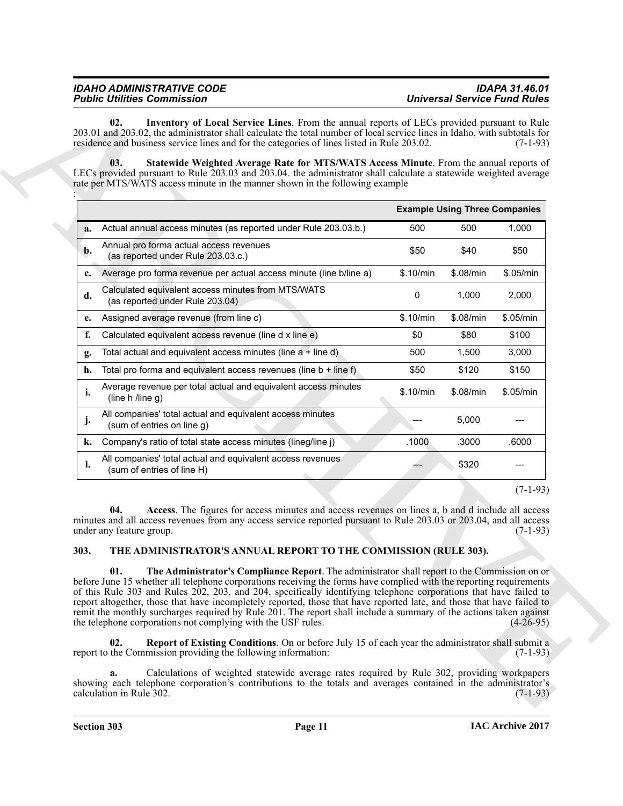<span id="page-10-6"></span><span id="page-10-5"></span>

| <b>IDAHO ADMINISTRATIVE CODE</b>   | <b>IDAPA 31.46.01</b>               |
|------------------------------------|-------------------------------------|
| <b>Public Utilities Commission</b> | <b>Universal Service Fund Rules</b> |
|                                    |                                     |

| LECs provided pursuant to Rule 203.03 and 203.04. the administrator shall calculate a statewide weighted average<br>rate per MTS/WATS access minute in the manner shown in the following example                                                                                                                                                                                                                                                                                                                                                                                                                                                                                                                                                                                                                                              |           | <b>Example Using Three Companies</b> |                           |
|-----------------------------------------------------------------------------------------------------------------------------------------------------------------------------------------------------------------------------------------------------------------------------------------------------------------------------------------------------------------------------------------------------------------------------------------------------------------------------------------------------------------------------------------------------------------------------------------------------------------------------------------------------------------------------------------------------------------------------------------------------------------------------------------------------------------------------------------------|-----------|--------------------------------------|---------------------------|
| Actual annual access minutes (as reported under Rule 203.03.b.)<br>a.                                                                                                                                                                                                                                                                                                                                                                                                                                                                                                                                                                                                                                                                                                                                                                         | 500       | 500                                  | 1,000                     |
| Annual pro forma actual access revenues<br>b.<br>(as reported under Rule 203.03.c.)                                                                                                                                                                                                                                                                                                                                                                                                                                                                                                                                                                                                                                                                                                                                                           | \$50      | \$40                                 | \$50                      |
| Average pro forma revenue per actual access minute (line b/line a)<br>c.                                                                                                                                                                                                                                                                                                                                                                                                                                                                                                                                                                                                                                                                                                                                                                      | \$.10/min | \$.08/min                            | \$.05/min                 |
| Calculated equivalent access minutes from MTS/WATS<br>d.<br>(as reported under Rule 203.04)                                                                                                                                                                                                                                                                                                                                                                                                                                                                                                                                                                                                                                                                                                                                                   | 0         | 1,000                                | 2,000                     |
| Assigned average revenue (from line c)<br>e.                                                                                                                                                                                                                                                                                                                                                                                                                                                                                                                                                                                                                                                                                                                                                                                                  | \$.10/min | \$.08/min                            | \$.05/min                 |
| f.<br>Calculated equivalent access revenue (line d x line e)                                                                                                                                                                                                                                                                                                                                                                                                                                                                                                                                                                                                                                                                                                                                                                                  | \$0       | \$80                                 | \$100                     |
| Total actual and equivalent access minutes (line $a + line d$ )<br>g.                                                                                                                                                                                                                                                                                                                                                                                                                                                                                                                                                                                                                                                                                                                                                                         | 500       | 1,500                                | 3,000                     |
| Total pro forma and equivalent access revenues (line $b + line f$ )<br>h.                                                                                                                                                                                                                                                                                                                                                                                                                                                                                                                                                                                                                                                                                                                                                                     | \$50      | \$120                                | \$150                     |
| Average revenue per total actual and equivalent access minutes<br>i.<br>(line $h$ /line g)                                                                                                                                                                                                                                                                                                                                                                                                                                                                                                                                                                                                                                                                                                                                                    | \$.10/min | \$.08/min                            | \$.05/min                 |
| All companies' total actual and equivalent access minutes<br>j.<br>(sum of entries on line g)                                                                                                                                                                                                                                                                                                                                                                                                                                                                                                                                                                                                                                                                                                                                                 |           | 5,000                                |                           |
| Company's ratio of total state access minutes (lineg/line j)<br>k.                                                                                                                                                                                                                                                                                                                                                                                                                                                                                                                                                                                                                                                                                                                                                                            | .1000     | .3000                                | .6000                     |
| All companies' total actual and equivalent access revenues<br>l.<br>(sum of entries of line H)                                                                                                                                                                                                                                                                                                                                                                                                                                                                                                                                                                                                                                                                                                                                                |           | \$320                                |                           |
| Access. The figures for access minutes and access revenues on lines a, b and d include all access<br>04.<br>minutes and all access revenues from any access service reported pursuant to Rule 203.03 or 203.04, and all access<br>under any feature group.<br>THE ADMINISTRATOR'S ANNUAL REPORT TO THE COMMISSION (RULE 303).<br>303.                                                                                                                                                                                                                                                                                                                                                                                                                                                                                                         |           |                                      | $(7-1-93)$<br>$(7-1-93)$  |
| 01.<br>The Administrator's Compliance Report. The administrator shall report to the Commission on or<br>before June 15 whether all telephone corporations receiving the forms have complied with the reporting requirements<br>of this Rule 303 and Rules 202, 203, and 204, specifically identifying telephone corporations that have failed to<br>report altogether, those that have incompletely reported, those that have reported late, and those that have failed to<br>remit the monthly surcharges required by Rule 201. The report shall include a summary of the actions taken against<br>the telephone corporations not complying with the USF rules.<br>02.<br>Report of Existing Conditions. On or before July 15 of each year the administrator shall submit a<br>report to the Commission providing the following information: |           |                                      | $(4-26-95)$<br>$(7-1-93)$ |

## <span id="page-10-4"></span><span id="page-10-3"></span><span id="page-10-2"></span><span id="page-10-1"></span><span id="page-10-0"></span>**303. THE ADMINISTRATOR'S ANNUAL REPORT TO THE COMMISSION (RULE 303).**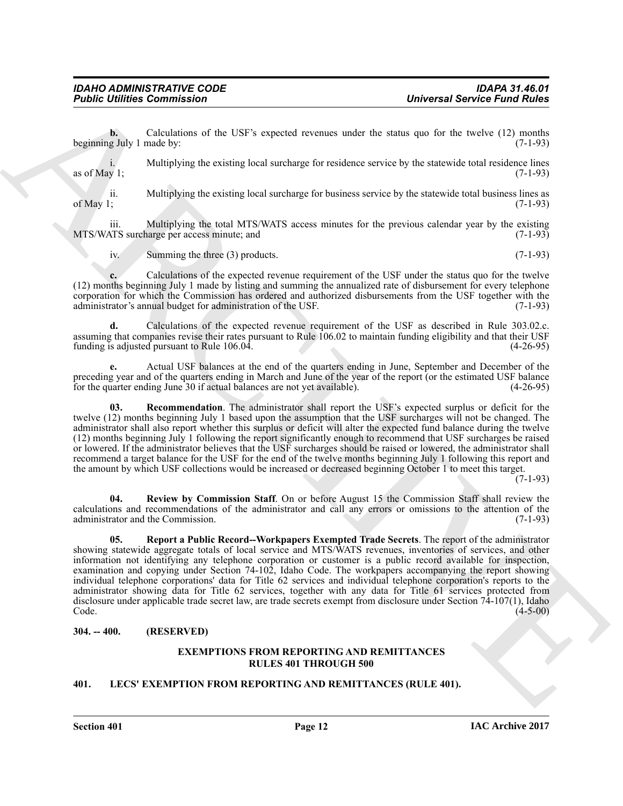**b.** Calculations of the USF's expected revenues under the status quo for the twelve (12) months g July 1 made by: (7-1-93) beginning July 1 made by:

i. Multiplying the existing local surcharge for residence service by the statewide total residence lines as of May 1; (7-1-93) as of May 1;  $(7-1-93)$ 

ii. Multiplying the existing local surcharge for business service by the statewide total business lines as of May 1; (7-1-93) of May 1;  $(7-1-93)$ 

iii. Multiplying the total MTS/WATS access minutes for the previous calendar year by the existing MTS surcharge per access minute; and (7-1-93) MTS/WATS surcharge per access minute; and

iv. Summing the three (3) products. (7-1-93)

**c.** Calculations of the expected revenue requirement of the USF under the status quo for the twelve (12) months beginning July 1 made by listing and summing the annualized rate of disbursement for every telephone corporation for which the Commission has ordered and authorized disbursements from the USF together with the administrator's annual budget for administration of the USF. (7-1-93)

**d.** Calculations of the expected revenue requirement of the USF as described in Rule 303.02.c. assuming that companies revise their rates pursuant to Rule 106.02 to maintain funding eligibility and that their USF funding is adjusted pursuant to Rule 106.04. funding is adjusted pursuant to Rule  $106.04$ .

**e.** Actual USF balances at the end of the quarters ending in June, September and December of the preceding year and of the quarters ending in March and June of the year of the report (or the estimated USF balance<br>for the quarter ending June 30 if actual balances are not yet available). (4-26-95) for the quarter ending June 30 if actual balances are not yet available).

<span id="page-11-3"></span>**03. Recommendation**. The administrator shall report the USF's expected surplus or deficit for the twelve (12) months beginning July 1 based upon the assumption that the USF surcharges will not be changed. The administrator shall also report whether this surplus or deficit will alter the expected fund balance during the twelve (12) months beginning July 1 following the report significantly enough to recommend that USF surcharges be raised or lowered. If the administrator believes that the USF surcharges should be raised or lowered, the administrator shall recommend a target balance for the USF for the end of the twelve months beginning July 1 following this report and the amount by which USF collections would be increased or decreased beginning October 1 to meet this target.

 $(7-1-93)$ 

<span id="page-11-5"></span><span id="page-11-4"></span>**04. Review by Commission Staff**. On or before August 15 the Commission Staff shall review the calculations and recommendations of the administrator and call any errors or omissions to the attention of the administrator and the Commission.

**Problem Commission**<br>
Directions are the USF's expected accumus units the same specified Paris 2 and the same specified Paris 2 and the same specified Paris 2 and the same specified Paris 2 and the same specified Paris 2 **05. Report a Public Record--Workpapers Exempted Trade Secrets**. The report of the administrator showing statewide aggregate totals of local service and MTS/WATS revenues, inventories of services, and other information not identifying any telephone corporation or customer is a public record available for inspection, examination and copying under Section 74-102, Idaho Code. The workpapers accompanying the report showing individual telephone corporations' data for Title 62 services and individual telephone corporation's reports to the administrator showing data for Title 62 services, together with any data for Title 61 services protected from disclosure under applicable trade secret law, are trade secrets exempt from disclosure under Section 74-107(1), Idaho Code. (4-5-00)  $\text{Code.} \tag{4-5-00}$ 

## <span id="page-11-0"></span>**304. -- 400. (RESERVED)**

## **EXEMPTIONS FROM REPORTING AND REMITTANCES RULES 401 THROUGH 500**

## <span id="page-11-2"></span><span id="page-11-1"></span>**401. LECS' EXEMPTION FROM REPORTING AND REMITTANCES (RULE 401).**

**Section 401 Page 12**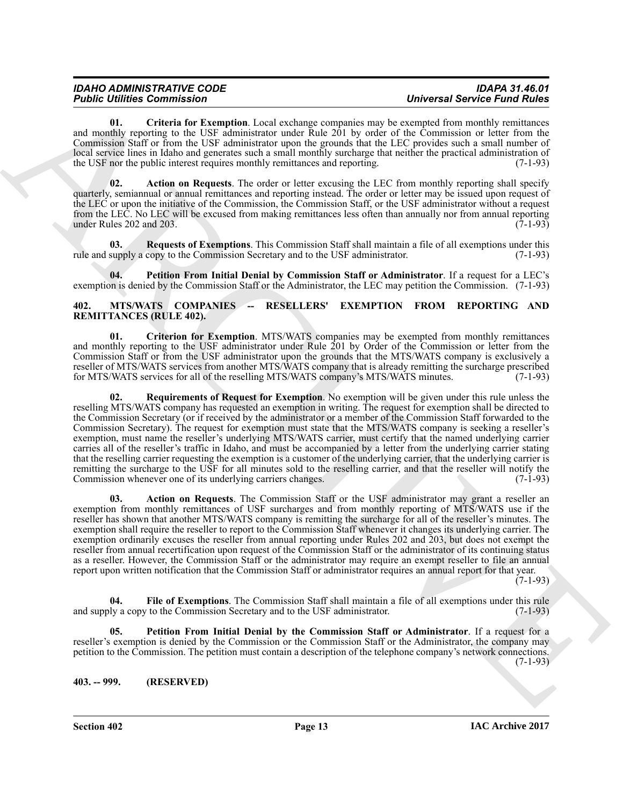## *IDAHO ADMINISTRATIVE CODE IDAPA 31.46.01*

<span id="page-12-3"></span>**01. Criteria for Exemption**. Local exchange companies may be exempted from monthly remittances and monthly reporting to the USF administrator under Rule 201 by order of the Commission or letter from the Commission Staff or from the USF administrator upon the grounds that the LEC provides such a small number of local service lines in Idaho and generates such a small monthly surcharge that neither the practical administration of the USF nor the public interest requires monthly remittances and reporting. (7-1-93) the USF nor the public interest requires monthly remittances and reporting.

<span id="page-12-2"></span>**02. Action on Requests**. The order or letter excusing the LEC from monthly reporting shall specify quarterly, semiannual or annual remittances and reporting instead. The order or letter may be issued upon request of the LEC or upon the initiative of the Commission, the Commission Staff, or the USF administrator without a request from the LEC. No LEC will be excused from making remittances less often than annually nor from annual reporting under Rules 202 and 203. (7-1-93)

<span id="page-12-5"></span>**03.** Requests of Exemptions. This Commission Staff shall maintain a file of all exemptions under this supply a copy to the Commission Secretary and to the USF administrator. (7-1-93) rule and supply a copy to the Commission Secretary and to the USF administrator.

<span id="page-12-4"></span>**04. Petition From Initial Denial by Commission Staff or Administrator**. If a request for a LEC's exemption is denied by the Commission Staff or the Administrator, the LEC may petition the Commission. (7-1-93)

#### <span id="page-12-6"></span><span id="page-12-0"></span>**402. MTS/WATS COMPANIES -- RESELLERS' EXEMPTION FROM REPORTING AND REMITTANCES (RULE 402).**

<span id="page-12-11"></span><span id="page-12-8"></span>**01. Criterion for Exemption**. MTS/WATS companies may be exempted from monthly remittances and monthly reporting to the USF administrator under Rule 201 by Order of the Commission or letter from the Commission Staff or from the USF administrator upon the grounds that the MTS/WATS company is exclusively a reseller of MTS/WATS services from another MTS/WATS company that is already remitting the surcharge prescribed<br>for MTS/WATS services for all of the reselling MTS/WATS company's MTS/WATS minutes. (7-1-93) for MTS/WATS services for all of the reselling MTS/WATS company's MTS/WATS minutes.

For the Commission Commission Commission of the system of the real of the Commission Commission Commission Commission Commission Commission Commission Commission Commission Commission Commission Commission Commission Comm **02. Requirements of Request for Exemption**. No exemption will be given under this rule unless the reselling MTS/WATS company has requested an exemption in writing. The request for exemption shall be directed to the Commission Secretary (or if received by the administrator or a member of the Commission Staff forwarded to the Commission Secretary). The request for exemption must state that the MTS/WATS company is seeking a reseller's exemption, must name the reseller's underlying MTS/WATS carrier, must certify that the named underlying carrier carries all of the reseller's traffic in Idaho, and must be accompanied by a letter from the underlying carrier stating that the reselling carrier requesting the exemption is a customer of the underlying carrier, that the underlying carrier is remitting the surcharge to the USF for all minutes sold to the reselling carrier, and that the reseller will notify the Commission whenever one of its underlying carriers changes. (7-1-93) Commission whenever one of its underlying carriers changes.

<span id="page-12-7"></span>**03. Action on Requests**. The Commission Staff or the USF administrator may grant a reseller an exemption from monthly remittances of USF surcharges and from monthly reporting of MTS/WATS use if the reseller has shown that another MTS/WATS company is remitting the surcharge for all of the reseller's minutes. The exemption shall require the reseller to report to the Commission Staff whenever it changes its underlying carrier. The exemption ordinarily excuses the reseller from annual reporting under Rules 202 and 203, but does not exempt the reseller from annual recertification upon request of the Commission Staff or the administrator of its continuing status as a reseller. However, the Commission Staff or the administrator may require an exempt reseller to file an annual report upon written notification that the Commission Staff or administrator requires an annual report for that year.

 $(7-1-93)$ 

<span id="page-12-9"></span>**04. File of Exemptions**. The Commission Staff shall maintain a file of all exemptions under this rule and supply a copy to the Commission Secretary and to the USF administrator. (7-1-93)

<span id="page-12-10"></span>**05. Petition From Initial Denial by the Commission Staff or Administrator**. If a request for a reseller's exemption is denied by the Commission or the Commission Staff or the Administrator, the company may petition to the Commission. The petition must contain a description of the telephone company's network connections.  $(7-1-93)$ 

<span id="page-12-1"></span>**403. -- 999. (RESERVED)**